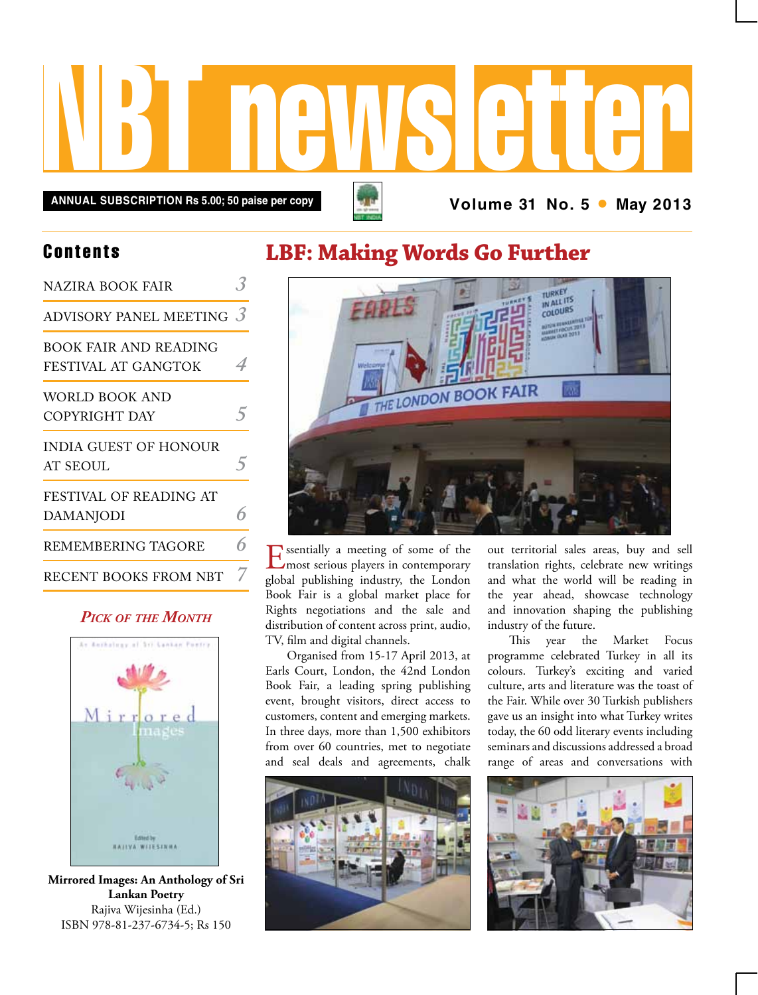

## **LBF: Making Words Go Further**



Essentially a meeting of some of the most serious players in contemporary global publishing industry, the London Book Fair is a global market place for Rights negotiations and the sale and distribution of content across print, audio, TV, film and digital channels.

Organised from 15-17 April 2013, at Earls Court, London, the 42nd London Book Fair, a leading spring publishing event, brought visitors, direct access to customers, content and emerging markets. In three days, more than 1,500 exhibitors from over 60 countries, met to negotiate and seal deals and agreements, chalk



out territorial sales areas, buy and sell translation rights, celebrate new writings and what the world will be reading in the year ahead, showcase technology and innovation shaping the publishing industry of the future.

This year the Market Focus programme celebrated Turkey in all its colours. Turkey's exciting and varied culture, arts and literature was the toast of the Fair. While over 30 Turkish publishers gave us an insight into what Turkey writes today, the 60 odd literary events including seminars and discussions addressed a broad range of areas and conversations with



### **Contents**

| NAZIRA BOOK FAIR                             |            |
|----------------------------------------------|------------|
| ADVISORY PANEL MEETING $\beta$               |            |
| BOOK FAIR AND READING<br>FESTIVAL AT GANGTOK | 4          |
| WORLD BOOK AND<br>COPYRIGHT DAY              | 5          |
| INDIA GUEST OF HONOUR<br>AT SEOUL            | $\sqrt{2}$ |
| FESTIVAL OF READING AT<br>DAMANJODI          | 6          |
| REMEMBERING TAGORE                           | 6          |
| RECENT BOOKS FROM NBT                        | 7          |

### *Pick of the Month*



**Mirrored Images: An Anthology of Sri Lankan Poetry** Rajiva Wijesinha (Ed.) ISBN 978-81-237-6734-5; Rs 150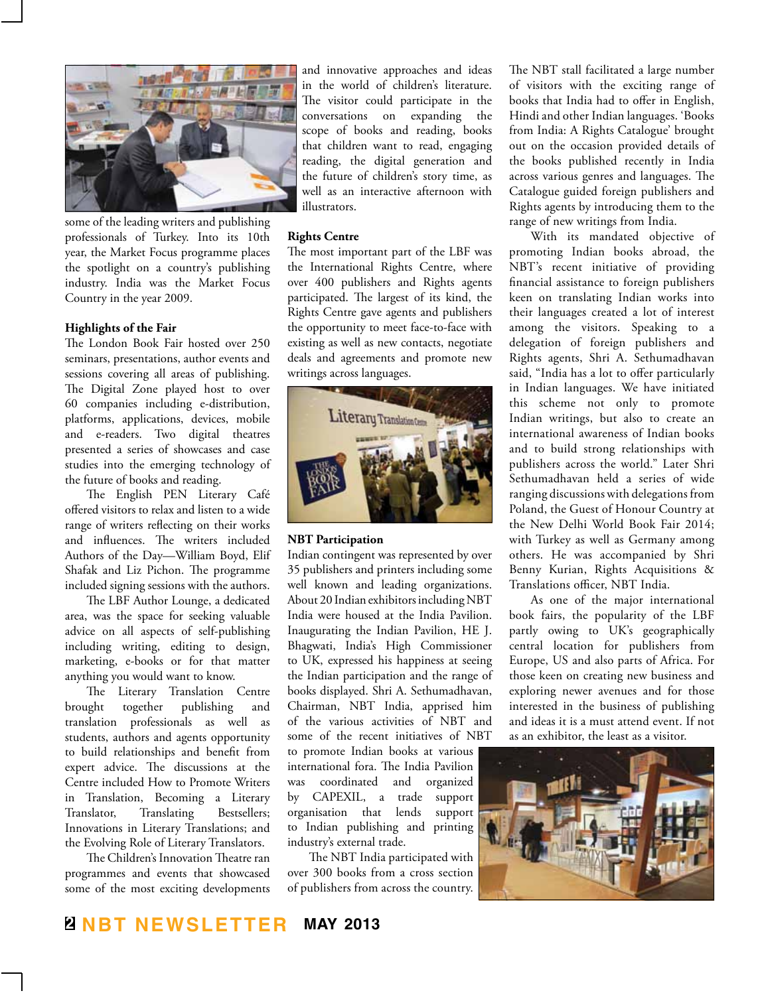

some of the leading writers and publishing professionals of Turkey. Into its 10th year, the Market Focus programme places the spotlight on a country's publishing industry. India was the Market Focus Country in the year 2009.

#### **Highlights of the Fair**

The London Book Fair hosted over 250 seminars, presentations, author events and sessions covering all areas of publishing. The Digital Zone played host to over 60 companies including e-distribution, platforms, applications, devices, mobile and e-readers. Two digital theatres presented a series of showcases and case studies into the emerging technology of the future of books and reading.

The English PEN Literary Café offered visitors to relax and listen to a wide range of writers reflecting on their works and influences. The writers included Authors of the Day—William Boyd, Elif Shafak and Liz Pichon. The programme included signing sessions with the authors.

The LBF Author Lounge, a dedicated area, was the space for seeking valuable advice on all aspects of self-publishing including writing, editing to design, marketing, e-books or for that matter anything you would want to know.

The Literary Translation Centre brought together publishing and translation professionals as well as students, authors and agents opportunity to build relationships and benefit from expert advice. The discussions at the Centre included How to Promote Writers in Translation, Becoming a Literary Translator, Translating Bestsellers; Innovations in Literary Translations; and the Evolving Role of Literary Translators.

The Children's Innovation Theatre ran programmes and events that showcased some of the most exciting developments and innovative approaches and ideas in the world of children's literature. The visitor could participate in the conversations on expanding the scope of books and reading, books that children want to read, engaging reading, the digital generation and the future of children's story time, as well as an interactive afternoon with illustrators.

#### **Rights Centre**

The most important part of the LBF was the International Rights Centre, where over 400 publishers and Rights agents participated. The largest of its kind, the Rights Centre gave agents and publishers the opportunity to meet face-to-face with existing as well as new contacts, negotiate deals and agreements and promote new writings across languages.



#### **NBT Participation**

Indian contingent was represented by over 35 publishers and printers including some well known and leading organizations. About 20 Indian exhibitors including NBT India were housed at the India Pavilion. Inaugurating the Indian Pavilion, HE J. Bhagwati, India's High Commissioner to UK, expressed his happiness at seeing the Indian participation and the range of books displayed. Shri A. Sethumadhavan, Chairman, NBT India, apprised him of the various activities of NBT and some of the recent initiatives of NBT

to promote Indian books at various international fora. The India Pavilion was coordinated and organized by CAPEXIL, a trade support organisation that lends support to Indian publishing and printing industry's external trade.

The NBT India participated with over 300 books from a cross section of publishers from across the country.

The NBT stall facilitated a large number of visitors with the exciting range of books that India had to offer in English, Hindi and other Indian languages. 'Books from India: A Rights Catalogue' brought out on the occasion provided details of the books published recently in India across various genres and languages. The Catalogue guided foreign publishers and Rights agents by introducing them to the range of new writings from India.

With its mandated objective of promoting Indian books abroad, the NBT's recent initiative of providing financial assistance to foreign publishers keen on translating Indian works into their languages created a lot of interest among the visitors. Speaking to a delegation of foreign publishers and Rights agents, Shri A. Sethumadhavan said, "India has a lot to offer particularly in Indian languages. We have initiated this scheme not only to promote Indian writings, but also to create an international awareness of Indian books and to build strong relationships with publishers across the world." Later Shri Sethumadhavan held a series of wide ranging discussions with delegations from Poland, the Guest of Honour Country at the New Delhi World Book Fair 2014; with Turkey as well as Germany among others. He was accompanied by Shri Benny Kurian, Rights Acquisitions & Translations officer, NBT India.

As one of the major international book fairs, the popularity of the LBF partly owing to UK's geographically central location for publishers from Europe, US and also parts of Africa. For those keen on creating new business and exploring newer avenues and for those interested in the business of publishing and ideas it is a must attend event. If not as an exhibitor, the least as a visitor.

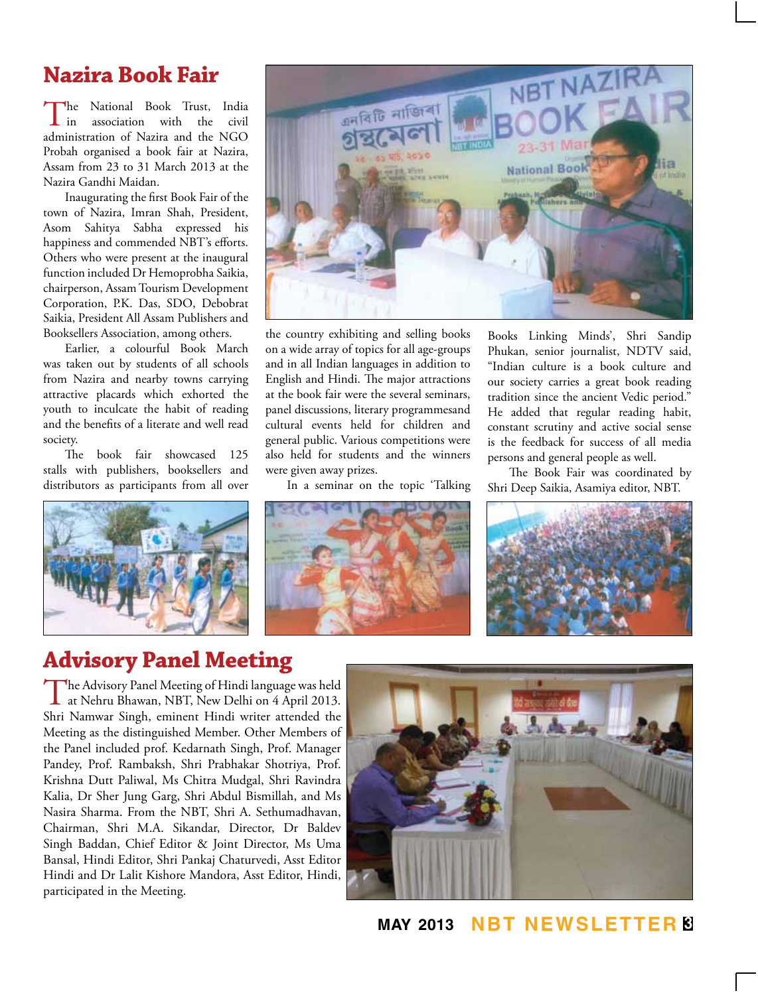# **Nazira Book Fair**

The National Book Trust, India<br>in association with the civil association administration of Nazira and the NGO Probah organised a book fair at Nazira, Assam from 23 to 31 March 2013 at the Nazira Gandhi Maidan.

Inaugurating the first Book Fair of the town of Nazira, Imran Shah, President, Asom Sahitya Sabha expressed his happiness and commended NBT's efforts. Others who were present at the inaugural function included Dr Hemoprobha Saikia, chairperson, Assam Tourism Development Corporation, P.K. Das, SDO, Debobrat Saikia, President All Assam Publishers and Booksellers Association, among others.

Earlier, a colourful Book March was taken out by students of all schools from Nazira and nearby towns carrying attractive placards which exhorted the youth to inculcate the habit of reading and the benefits of a literate and well read society.

The book fair showcased 125 stalls with publishers, booksellers and distributors as participants from all over





the country exhibiting and selling books on a wide array of topics for all age-groups and in all Indian languages in addition to English and Hindi. The major attractions at the book fair were the several seminars, panel discussions, literary programmesand cultural events held for children and general public. Various competitions were also held for students and the winners were given away prizes.

In a seminar on the topic 'Talking

Books Linking Minds', Shri Sandip Phukan, senior journalist, NDTV said, "Indian culture is a book culture and our society carries a great book reading tradition since the ancient Vedic period." He added that regular reading habit, constant scrutiny and active social sense is the feedback for success of all media persons and general people as well.

The Book Fair was coordinated by Shri Deep Saikia, Asamiya editor, NBT.





# **Advisory Panel Meeting**

The Advisory Panel Meeting of Hindi language was held<br>at Nehru Bhawan, NBT, New Delhi on 4 April 2013. Shri Namwar Singh, eminent Hindi writer attended the Meeting as the distinguished Member. Other Members of the Panel included prof. Kedarnath Singh, Prof. Manager Pandey, Prof. Rambaksh, Shri Prabhakar Shotriya, Prof. Krishna Dutt Paliwal, Ms Chitra Mudgal, Shri Ravindra Kalia, Dr Sher Jung Garg, Shri Abdul Bismillah, and Ms Nasira Sharma. From the NBT, Shri A. Sethumadhavan, Chairman, Shri M.A. Sikandar, Director, Dr Baldev Singh Baddan, Chief Editor & Joint Director, Ms Uma Bansal, Hindi Editor, Shri Pankaj Chaturvedi, Asst Editor Hindi and Dr Lalit Kishore Mandora, Asst Editor, Hindi, participated in the Meeting.



**may 2013 NBT Newsletter 3**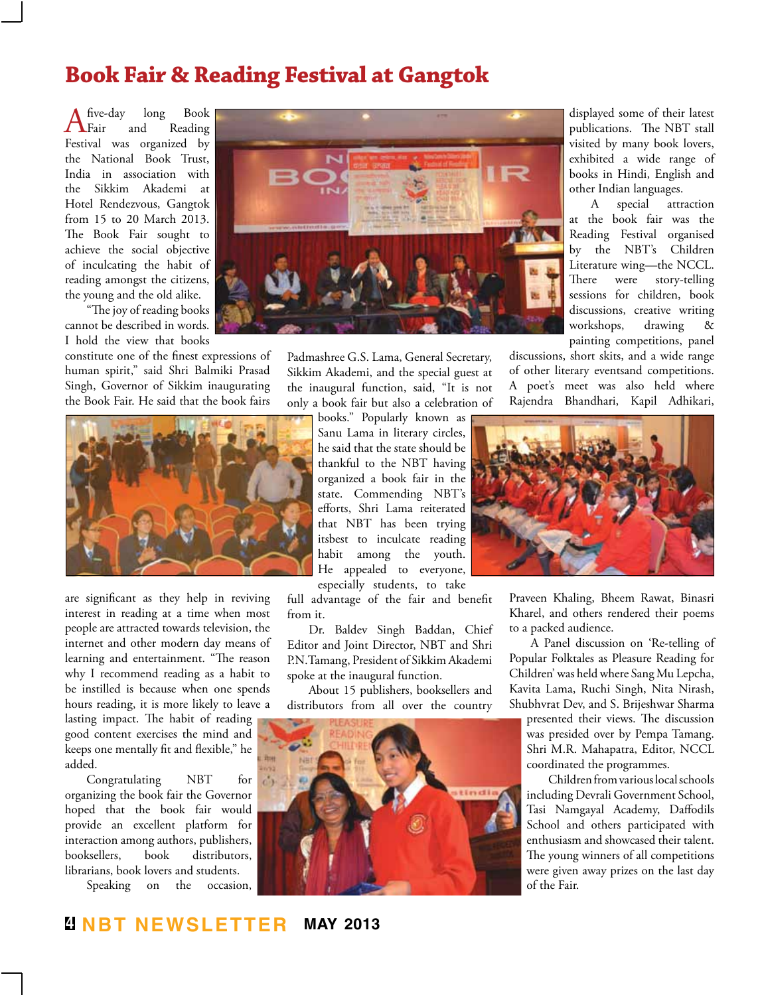## **Book Fair & Reading Festival at Gangtok**

A five-day long Book Festival was organized by Fair and Reading the National Book Trust, India in association with the Sikkim Akademi at Hotel Rendezvous, Gangtok from 15 to 20 March 2013. The Book Fair sought to achieve the social objective of inculcating the habit of reading amongst the citizens, the young and the old alike.

"The joy of reading books cannot be described in words. I hold the view that books

constitute one of the finest expressions of human spirit," said Shri Balmiki Prasad Singh, Governor of Sikkim inaugurating the Book Fair. He said that the book fairs



Padmashree G.S. Lama, General Secretary, Sikkim Akademi, and the special guest at the inaugural function, said, "It is not only a book fair but also a celebration of



are significant as they help in reviving interest in reading at a time when most people are attracted towards television, the internet and other modern day means of learning and entertainment. "The reason why I recommend reading as a habit to be instilled is because when one spends hours reading, it is more likely to leave a

lasting impact. The habit of reading good content exercises the mind and keeps one mentally fit and flexible," he added.

Congratulating NBT for organizing the book fair the Governor hoped that the book fair would provide an excellent platform for interaction among authors, publishers, booksellers, book distributors, librarians, book lovers and students.

Speaking on the occasion,

books." Popularly known as Sanu Lama in literary circles, he said that the state should be thankful to the NBT having organized a book fair in the state. Commending NBT's efforts, Shri Lama reiterated that NBT has been trying itsbest to inculcate reading habit among the youth. He appealed to everyone, especially students, to take

full advantage of the fair and benefit from it.

Dr. Baldev Singh Baddan, Chief Editor and Joint Director, NBT and Shri P.N.Tamang, President of Sikkim Akademi spoke at the inaugural function.

About 15 publishers, booksellers and distributors from all over the country



displayed some of their latest publications. The NBT stall visited by many book lovers, exhibited a wide range of books in Hindi, English and other Indian languages.

A special attraction at the book fair was the Reading Festival organised by the NBT's Children Literature wing—the NCCL. There were story-telling sessions for children, book discussions, creative writing workshops, drawing & painting competitions, panel

discussions, short skits, and a wide range of other literary eventsand competitions. A poet's meet was also held where Rajendra Bhandhari, Kapil Adhikari,



Praveen Khaling, Bheem Rawat, Binasri Kharel, and others rendered their poems to a packed audience.

A Panel discussion on 'Re-telling of Popular Folktales as Pleasure Reading for Children' was held where Sang Mu Lepcha, Kavita Lama, Ruchi Singh, Nita Nirash, Shubhvrat Dev, and S. Brijeshwar Sharma

presented their views. The discussion was presided over by Pempa Tamang. Shri M.R. Mahapatra, Editor, NCCL coordinated the programmes.

Children from various local schools including Devrali Government School, Tasi Namgayal Academy, Daffodils School and others participated with enthusiasm and showcased their talent. The young winners of all competitions were given away prizes on the last day of the Fair.

### **4 NBT Newsletter may 2013**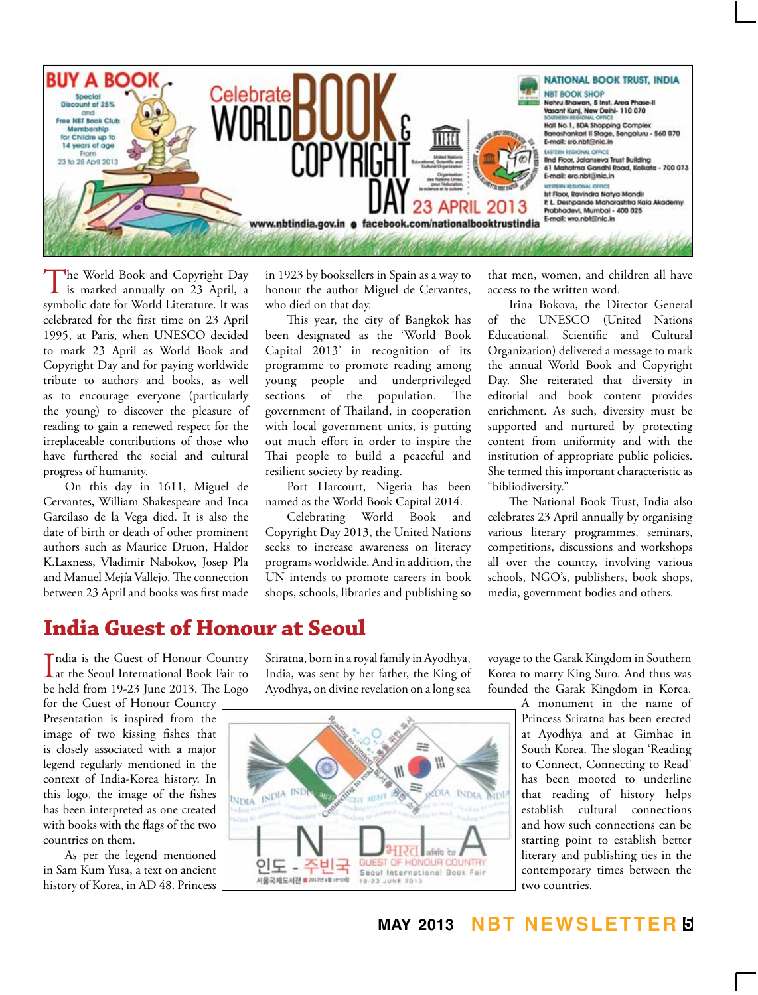

The World Book and Copyright Day<br>
is marked annually on 23 April, a<br>
induction Width Lines symbolic date for World Literature. It was celebrated for the first time on 23 April 1995, at Paris, when UNESCO decided to mark 23 April as World Book and Copyright Day and for paying worldwide tribute to authors and books, as well as to encourage everyone (particularly the young) to discover the pleasure of reading to gain a renewed respect for the irreplaceable contributions of those who have furthered the social and cultural progress of humanity.

On this day in 1611, Miguel de Cervantes, William Shakespeare and Inca Garcilaso de la Vega died. It is also the date of birth or death of other prominent authors such as Maurice Druon, Haldor K.Laxness, Vladimir Nabokov, Josep Pla and Manuel Mejía Vallejo. The connection between 23 April and books was first made in 1923 by booksellers in Spain as a way to honour the author Miguel de Cervantes, who died on that day.

This year, the city of Bangkok has been designated as the 'World Book Capital 2013' in recognition of its programme to promote reading among young people and underprivileged sections of the population. The government of Thailand, in cooperation with local government units, is putting out much effort in order to inspire the Thai people to build a peaceful and resilient society by reading.

Port Harcourt, Nigeria has been named as the World Book Capital 2014.

Celebrating World Book and Copyright Day 2013, the United Nations seeks to increase awareness on literacy programs worldwide. And in addition, the UN intends to promote careers in book shops, schools, libraries and publishing so that men, women, and children all have access to the written word.

Irina Bokova, the Director General of the UNESCO (United Nations Educational, Scientific and Cultural Organization) delivered a message to mark the annual World Book and Copyright Day. She reiterated that diversity in editorial and book content provides enrichment. As such, diversity must be supported and nurtured by protecting content from uniformity and with the institution of appropriate public policies. She termed this important characteristic as "bibliodiversity."

The National Book Trust, India also celebrates 23 April annually by organising various literary programmes, seminars, competitions, discussions and workshops all over the country, involving various schools, NGO's, publishers, book shops, media, government bodies and others.

### **India Guest of Honour at Seoul**

India is the Guest of Honour Country<br>at the Seoul International Book Fair to at the Seoul International Book Fair to be held from 19-23 June 2013. The Logo

for the Guest of Honour Country Presentation is inspired from the image of two kissing fishes that is closely associated with a major legend regularly mentioned in the context of India-Korea history. In this logo, the image of the fishes has been interpreted as one created with books with the flags of the two countries on them.

As per the legend mentioned in Sam Kum Yusa, a text on ancient history of Korea, in AD 48. Princess Sriratna, born in a royal family in Ayodhya, India, was sent by her father, the King of Ayodhya, on divine revelation on a long sea



voyage to the Garak Kingdom in Southern Korea to marry King Suro. And thus was founded the Garak Kingdom in Korea.

> A monument in the name of Princess Sriratna has been erected at Ayodhya and at Gimhae in South Korea. The slogan 'Reading to Connect, Connecting to Read' has been mooted to underline that reading of history helps establish cultural connections and how such connections can be starting point to establish better literary and publishing ties in the contemporary times between the two countries.

**may 2013 NBT Newsletter 5**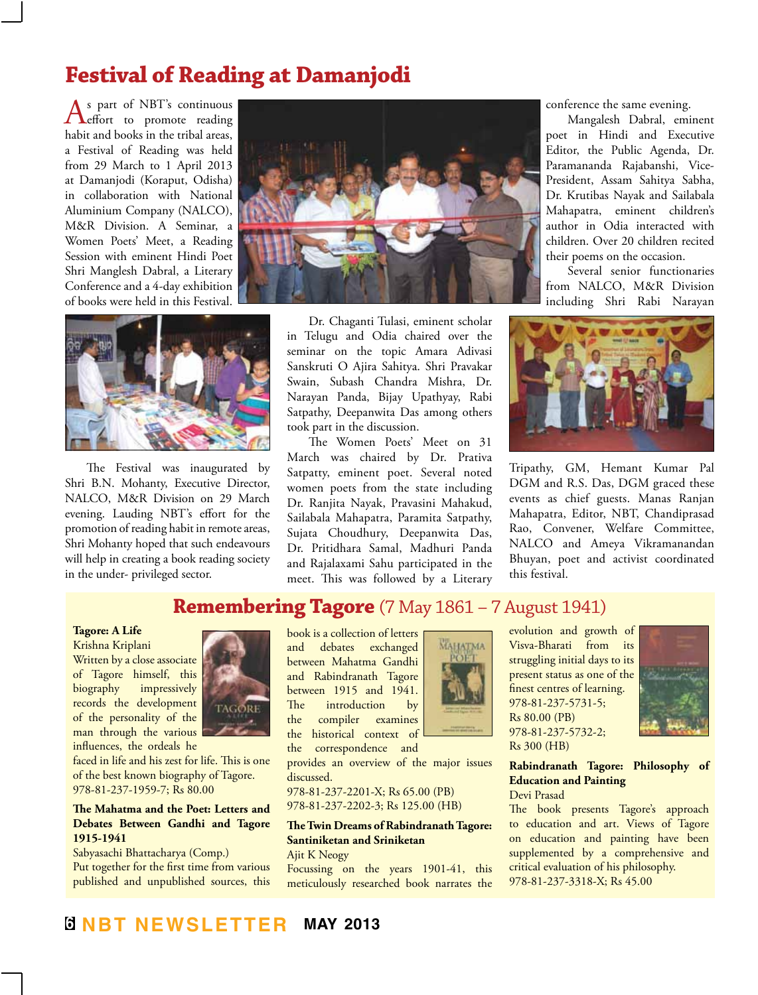# **Festival of Reading at Damanjodi**

As part of NBT's continuous<br>
effort to promote reading habit and books in the tribal areas, a Festival of Reading was held from 29 March to 1 April 2013 at Damanjodi (Koraput, Odisha) in collaboration with National Aluminium Company (NALCO), M&R Division. A Seminar, a Women Poets' Meet, a Reading Session with eminent Hindi Poet Shri Manglesh Dabral, a Literary Conference and a 4-day exhibition of books were held in this Festival.





The Festival was inaugurated by Shri B.N. Mohanty, Executive Director, NALCO, M&R Division on 29 March evening. Lauding NBT's effort for the promotion of reading habit in remote areas, Shri Mohanty hoped that such endeavours will help in creating a book reading society in the under- privileged sector.

Dr. Chaganti Tulasi, eminent scholar in Telugu and Odia chaired over the seminar on the topic Amara Adivasi Sanskruti O Ajira Sahitya. Shri Pravakar Swain, Subash Chandra Mishra, Dr. Narayan Panda, Bijay Upathyay, Rabi Satpathy, Deepanwita Das among others took part in the discussion.

The Women Poets' Meet on 31 March was chaired by Dr. Prativa Satpatty, eminent poet. Several noted women poets from the state including Dr. Ranjita Nayak, Pravasini Mahakud, Sailabala Mahapatra, Paramita Satpathy, Sujata Choudhury, Deepanwita Das, Dr. Pritidhara Samal, Madhuri Panda and Rajalaxami Sahu participated in the meet. This was followed by a Literary

conference the same evening.

Mangalesh Dabral, eminent poet in Hindi and Executive Editor, the Public Agenda, Dr. Paramananda Rajabanshi, Vice-President, Assam Sahitya Sabha, Dr. Krutibas Nayak and Sailabala Mahapatra, eminent children's author in Odia interacted with children. Over 20 children recited their poems on the occasion.

Several senior functionaries from NALCO, M&R Division including Shri Rabi Narayan



Tripathy, GM, Hemant Kumar Pal DGM and R.S. Das, DGM graced these events as chief guests. Manas Ranjan Mahapatra, Editor, NBT, Chandiprasad Rao, Convener, Welfare Committee, NALCO and Ameya Vikramanandan Bhuyan, poet and activist coordinated this festival.

## **Remembering Tagore** (7 May 1861 – 7 August 1941)

#### **Tagore: A Life**

Krishna Kriplani Written by a close associate of Tagore himself, this biography impressively records the development of the personality of the man through the various influences, the ordeals he



faced in life and his zest for life. This is one of the best known biography of Tagore. 978-81-237-1959-7; Rs 80.00

#### **The Mahatma and the Poet: Letters and Debates Between Gandhi and Tagore 1915-1941**

Sabyasachi Bhattacharya (Comp.) Put together for the first time from various published and unpublished sources, this

book is a collection of letters and debates exchanged between Mahatma Gandhi and Rabindranath Tagore between 1915 and 1941. The introduction by the compiler examines the historical context of

the correspondence and provides an overview of the major issues

discussed. 978-81-237-2201-X; Rs 65.00 (PB)

978-81-237-2202-3; Rs 125.00 (HB)

#### **The Twin Dreams of Rabindranath Tagore: Santiniketan and Sriniketan** Ajit K Neogy

Focussing on the years 1901-41, this meticulously researched book narrates the



evolution and growth of Visva-Bharati from its struggling initial days to its present status as one of the finest centres of learning. 978-81-237-5731-5; Rs 80.00 (PB) 978-81-237-5732-2; Rs 300 (HB)



**Rabindranath Tagore: Philosophy of Education and Painting** Devi Prasad

The book presents Tagore's approach to education and art. Views of Tagore on education and painting have been supplemented by a comprehensive and critical evaluation of his philosophy. 978-81-237-3318-X; Rs 45.00

## **6 NBT Newsletter may 2013**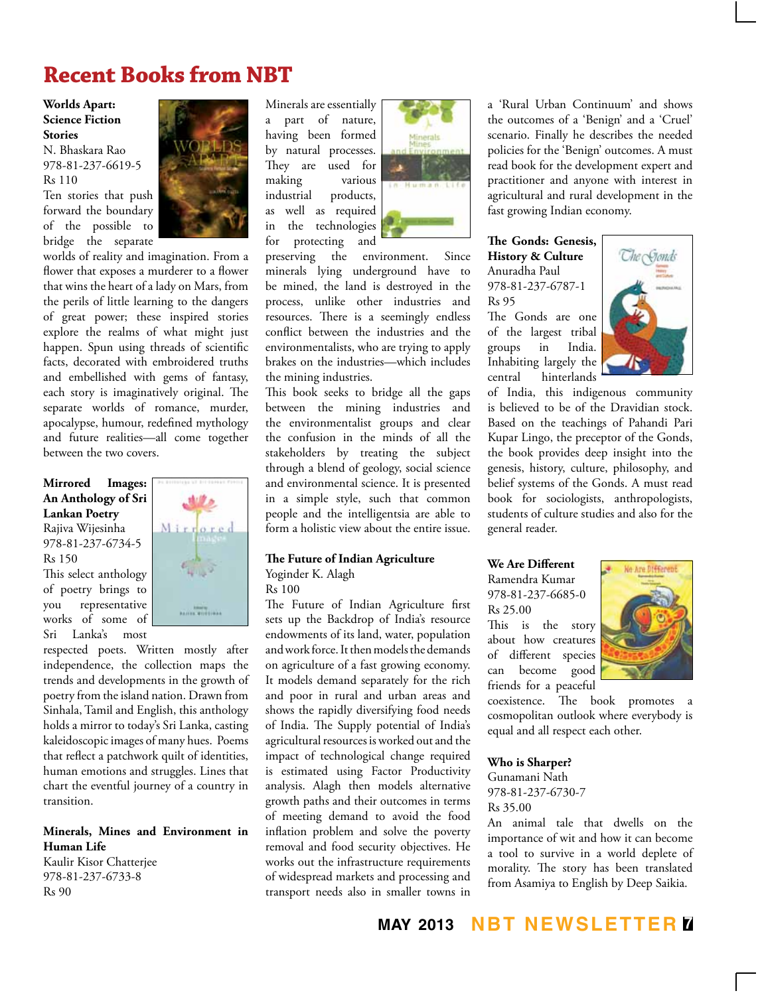# **Recent Books from NBT**

#### **Worlds Apart: Science Fiction Stories**

N. Bhaskara Rao 978-81-237-6619-5 Rs 110

Ten stories that push forward the boundary of the possible to bridge the separate



worlds of reality and imagination. From a flower that exposes a murderer to a flower that wins the heart of a lady on Mars, from the perils of little learning to the dangers of great power; these inspired stories explore the realms of what might just happen. Spun using threads of scientific facts, decorated with embroidered truths and embellished with gems of fantasy, each story is imaginatively original. The separate worlds of romance, murder, apocalypse, humour, redefined mythology and future realities—all come together between the two covers.

**Mirrored Images: An Anthology of Sri Lankan Poetry** Rajiva Wijesinha

978-81-237-6734-5 Rs 150

This select anthology of poetry brings to you representative works of some of Sri Lanka's most



respected poets. Written mostly after independence, the collection maps the trends and developments in the growth of poetry from the island nation. Drawn from Sinhala, Tamil and English, this anthology holds a mirror to today's Sri Lanka, casting kaleidoscopic images of many hues. Poems that reflect a patchwork quilt of identities, human emotions and struggles. Lines that chart the eventful journey of a country in transition.

#### **Minerals, Mines and Environment in Human Life**

Kaulir Kisor Chatterjee 978-81-237-6733-8 Rs 90

Minerals are essentially a part of nature, having been formed by natural processes. They are used for making various industrial products, as well as required in the technologies for protecting and



preserving the environment. Since minerals lying underground have to be mined, the land is destroyed in the process, unlike other industries and resources. There is a seemingly endless conflict between the industries and the environmentalists, who are trying to apply brakes on the industries—which includes the mining industries.

This book seeks to bridge all the gaps between the mining industries and the environmentalist groups and clear the confusion in the minds of all the stakeholders by treating the subject through a blend of geology, social science and environmental science. It is presented in a simple style, such that common people and the intelligentsia are able to form a holistic view about the entire issue.

#### **The Future of Indian Agriculture** Yoginder K. Alagh

Rs 100

The Future of Indian Agriculture first sets up the Backdrop of India's resource endowments of its land, water, population and work force. It then models the demands on agriculture of a fast growing economy. It models demand separately for the rich and poor in rural and urban areas and shows the rapidly diversifying food needs of India. The Supply potential of India's agricultural resources is worked out and the impact of technological change required is estimated using Factor Productivity analysis. Alagh then models alternative growth paths and their outcomes in terms of meeting demand to avoid the food inflation problem and solve the poverty removal and food security objectives. He works out the infrastructure requirements of widespread markets and processing and transport needs also in smaller towns in

a 'Rural Urban Continuum' and shows the outcomes of a 'Benign' and a 'Cruel' scenario. Finally he describes the needed policies for the 'Benign' outcomes. A must read book for the development expert and practitioner and anyone with interest in agricultural and rural development in the fast growing Indian economy.

#### **The Gonds: Genesis, History & Culture** Anuradha Paul 978-81-237-6787-1 Rs 95

The Gonds are one of the largest tribal groups in India. Inhabiting largely the central hinterlands



of India, this indigenous community is believed to be of the Dravidian stock. Based on the teachings of Pahandi Pari Kupar Lingo, the preceptor of the Gonds, the book provides deep insight into the genesis, history, culture, philosophy, and belief systems of the Gonds. A must read book for sociologists, anthropologists, students of culture studies and also for the general reader.

**We Are Different** Ramendra Kumar 978-81-237-6685-0 Rs 25.00 This is the story about how creatures of different species can become good friends for a peaceful



coexistence. The book promotes a cosmopolitan outlook where everybody is equal and all respect each other.

#### **Who is Sharper?**

Gunamani Nath 978-81-237-6730-7 Rs 35.00

An animal tale that dwells on the importance of wit and how it can become a tool to survive in a world deplete of morality. The story has been translated from Asamiya to English by Deep Saikia.